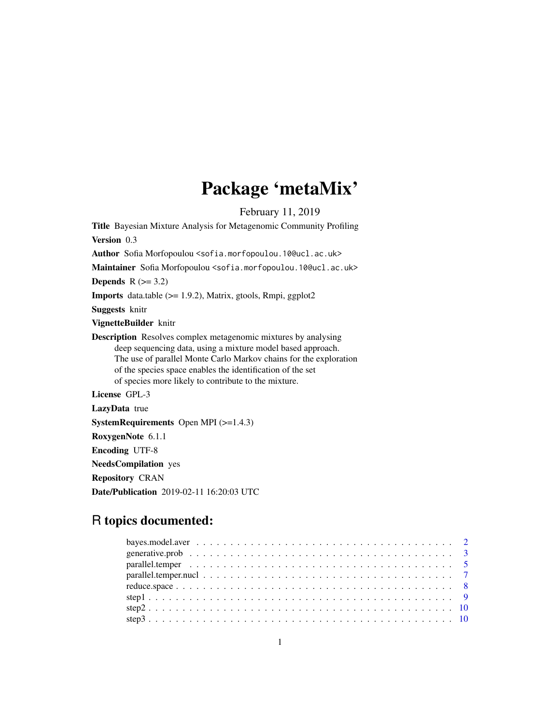# Package 'metaMix'

February 11, 2019

Title Bayesian Mixture Analysis for Metagenomic Community Profiling Version 0.3 Author Sofia Morfopoulou <sofia.morfopoulou.10@ucl.ac.uk> Maintainer Sofia Morfopoulou <sofia.morfopoulou.10@ucl.ac.uk> Depends  $R$  ( $>= 3.2$ ) Imports data.table (>= 1.9.2), Matrix, gtools, Rmpi, ggplot2 Suggests knitr VignetteBuilder knitr Description Resolves complex metagenomic mixtures by analysing deep sequencing data, using a mixture model based approach. The use of parallel Monte Carlo Markov chains for the exploration of the species space enables the identification of the set of species more likely to contribute to the mixture. License GPL-3 LazyData true

SystemRequirements Open MPI (>=1.4.3)

RoxygenNote 6.1.1

Encoding UTF-8

NeedsCompilation yes

Repository CRAN

Date/Publication 2019-02-11 16:20:03 UTC

# R topics documented: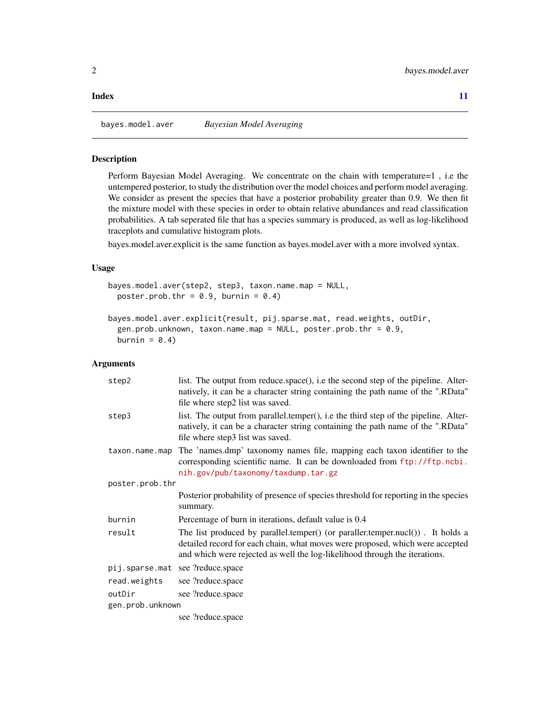#### <span id="page-1-0"></span>**Index** [11](#page-10-0)

#### Description

Perform Bayesian Model Averaging. We concentrate on the chain with temperature=1 , i.e the untempered posterior, to study the distribution over the model choices and perform model averaging. We consider as present the species that have a posterior probability greater than 0.9. We then fit the mixture model with these species in order to obtain relative abundances and read classification probabilities. A tab seperated file that has a species summary is produced, as well as log-likelihood traceplots and cumulative histogram plots.

bayes.model.aver.explicit is the same function as bayes.model.aver with a more involved syntax.

# Usage

```
bayes.model.aver(step2, step3, taxon.name.map = NULL,
 poster.prob.thr = 0.9, burnin = 0.4)
```

```
bayes.model.aver.explicit(result, pij.sparse.mat, read.weights, outDir,
 gen.prob.unknown, taxon.name.map = NULL, poster.prob.thr = 0.9,
 burnin = 0.4)
```
#### Arguments

| step2            | list. The output from reduce space(), i.e the second step of the pipeline. Alter-<br>natively, it can be a character string containing the path name of the ".RData"<br>file where step2 list was saved.                                      |  |
|------------------|-----------------------------------------------------------------------------------------------------------------------------------------------------------------------------------------------------------------------------------------------|--|
| step3            | list. The output from parallel.temper(), i.e the third step of the pipeline. Alter-<br>natively, it can be a character string containing the path name of the ".RData"<br>file where step3 list was saved.                                    |  |
| taxon.name.map   | The 'names.dmp' taxonomy names file, mapping each taxon identifier to the<br>corresponding scientific name. It can be downloaded from ftp://ftp.ncbi.<br>nih.gov/pub/taxonomy/taxdump.tar.gz                                                  |  |
| poster.prob.thr  |                                                                                                                                                                                                                                               |  |
|                  | Posterior probability of presence of species threshold for reporting in the species<br>summary.                                                                                                                                               |  |
| burnin           | Percentage of burn in iterations, default value is 0.4                                                                                                                                                                                        |  |
| result           | The list produced by parallel.temper() (or paraller.temper.nucl()). It holds a<br>detailed record for each chain, what moves were proposed, which were accepted<br>and which were rejected as well the log-likelihood through the iterations. |  |
| pij.sparse.mat   | see ?reduce.space                                                                                                                                                                                                                             |  |
| read.weights     | see ?reduce.space                                                                                                                                                                                                                             |  |
| outDir           | see ?reduce.space                                                                                                                                                                                                                             |  |
| gen.prob.unknown |                                                                                                                                                                                                                                               |  |
|                  | see ?reduce.space                                                                                                                                                                                                                             |  |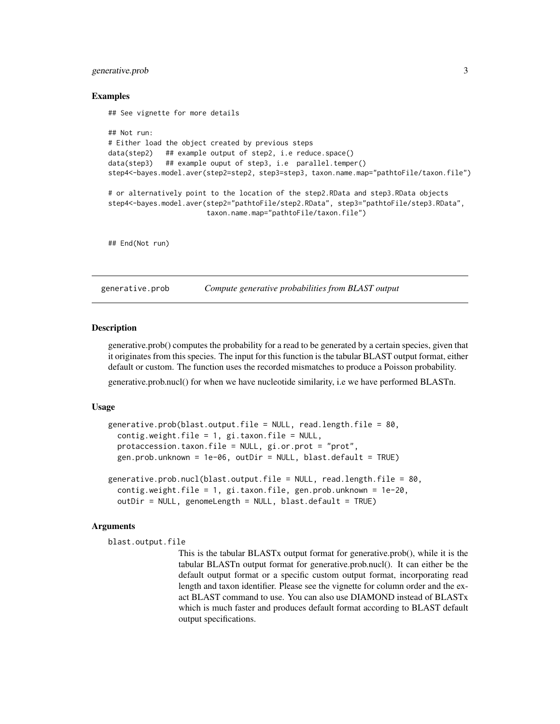# <span id="page-2-0"></span>generative.prob 3

#### Examples

```
## See vignette for more details
## Not run:
# Either load the object created by previous steps
data(step2) ## example output of step2, i.e reduce.space()
data(step3) ## example ouput of step3, i.e parallel.temper()
step4<-bayes.model.aver(step2=step2, step3=step3, taxon.name.map="pathtoFile/taxon.file")
# or alternatively point to the location of the step2.RData and step3.RData objects
step4<-bayes.model.aver(step2="pathtoFile/step2.RData", step3="pathtoFile/step3.RData",
                        taxon.name.map="pathtoFile/taxon.file")
## End(Not run)
```
generative.prob *Compute generative probabilities from BLAST output*

#### Description

generative.prob() computes the probability for a read to be generated by a certain species, given that it originates from this species. The input for this function is the tabular BLAST output format, either default or custom. The function uses the recorded mismatches to produce a Poisson probability.

generative.prob.nucl() for when we have nucleotide similarity, i.e we have performed BLASTn.

#### Usage

```
generative.prob(blast.output.file = NULL, read.length.file = 80,
  contig.weight.file = 1, gi.taxon.file = NULL,
 protaccession.taxon.file = NULL, gi.or.prot = "prot",
 gen.prob.unknown = 1e-06, outDir = NULL, blast.default = TRUE)
generative.prob.nucl(blast.output.file = NULL, read.length.file = 80,
  contig.weight.file = 1, gi.taxon.file, gen.prob.unknown = 1e-20,
  outDir = NULL, genomeLength = NULL, blast.default = TRUE)
```
#### Arguments

```
blast.output.file
```
This is the tabular BLASTx output format for generative.prob(), while it is the tabular BLASTn output format for generative.prob.nucl(). It can either be the default output format or a specific custom output format, incorporating read length and taxon identifier. Please see the vignette for column order and the exact BLAST command to use. You can also use DIAMOND instead of BLASTx which is much faster and produces default format according to BLAST default output specifications.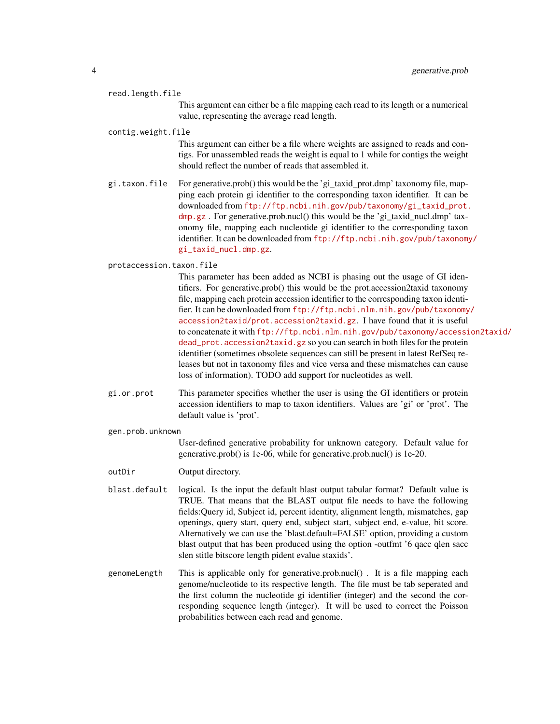#### read.length.file

This argument can either be a file mapping each read to its length or a numerical value, representing the average read length.

#### contig.weight.file

This argument can either be a file where weights are assigned to reads and contigs. For unassembled reads the weight is equal to 1 while for contigs the weight should reflect the number of reads that assembled it.

gi.taxon.file For generative.prob() this would be the 'gi\_taxid\_prot.dmp' taxonomy file, mapping each protein gi identifier to the corresponding taxon identifier. It can be downloaded from [ftp://ftp.ncbi.nih.gov/pub/taxonomy/gi\\_taxid\\_prot.](ftp://ftp.ncbi.nih.gov/pub/taxonomy/gi_taxid_prot.dmp.gz) [dmp.gz](ftp://ftp.ncbi.nih.gov/pub/taxonomy/gi_taxid_prot.dmp.gz) . For generative.prob.nucl() this would be the 'gi\_taxid\_nucl.dmp' taxonomy file, mapping each nucleotide gi identifier to the corresponding taxon identifier. It can be downloaded from [ftp://ftp.ncbi.nih.gov/pub/taxonomy](ftp://ftp.ncbi.nih.gov/pub/taxonomy/gi_taxid_nucl.dmp.gz)/ [gi\\_taxid\\_nucl.dmp.gz](ftp://ftp.ncbi.nih.gov/pub/taxonomy/gi_taxid_nucl.dmp.gz).

#### protaccession.taxon.file

This parameter has been added as NCBI is phasing out the usage of GI identifiers. For generative.prob() this would be the prot.accession2taxid taxonomy file, mapping each protein accession identifier to the corresponding taxon identifier. It can be downloaded from [ftp://ftp.ncbi.nlm.nih.gov/pub/taxonomy](ftp://ftp.ncbi.nlm.nih.gov/pub/taxonomy/accession2taxid/prot.accession2taxid.gz)/ [accession2taxid/prot.accession2taxid.gz](ftp://ftp.ncbi.nlm.nih.gov/pub/taxonomy/accession2taxid/prot.accession2taxid.gz). I have found that it is useful to concatenate it with [ftp://ftp.ncbi.nlm.nih.gov/pub/taxonomy/accessi](ftp://ftp.ncbi.nlm.nih.gov/pub/taxonomy/accession2taxid/dead_prot.accession2taxid.gz)on2taxid/ [dead\\_prot.accession2taxid.gz](ftp://ftp.ncbi.nlm.nih.gov/pub/taxonomy/accession2taxid/dead_prot.accession2taxid.gz) so you can search in both files for the protein identifier (sometimes obsolete sequences can still be present in latest RefSeq releases but not in taxonomy files and vice versa and these mismatches can cause loss of information). TODO add support for nucleotides as well.

gi.or.prot This parameter specifies whether the user is using the GI identifiers or protein accession identifiers to map to taxon identifiers. Values are 'gi' or 'prot'. The default value is 'prot'.

#### gen.prob.unknown

User-defined generative probability for unknown category. Default value for generative.prob() is 1e-06, while for generative.prob.nucl() is 1e-20.

- outDir Output directory.
- blast.default logical. Is the input the default blast output tabular format? Default value is TRUE. That means that the BLAST output file needs to have the following fields:Query id, Subject id, percent identity, alignment length, mismatches, gap openings, query start, query end, subject start, subject end, e-value, bit score. Alternatively we can use the 'blast.default=FALSE' option, providing a custom blast output that has been produced using the option -outfmt '6 qacc qlen sacc slen stitle bitscore length pident evalue staxids'.
- genomeLength This is applicable only for generative.prob.nucl() . It is a file mapping each genome/nucleotide to its respective length. The file must be tab seperated and the first column the nucleotide gi identifier (integer) and the second the corresponding sequence length (integer). It will be used to correct the Poisson probabilities between each read and genome.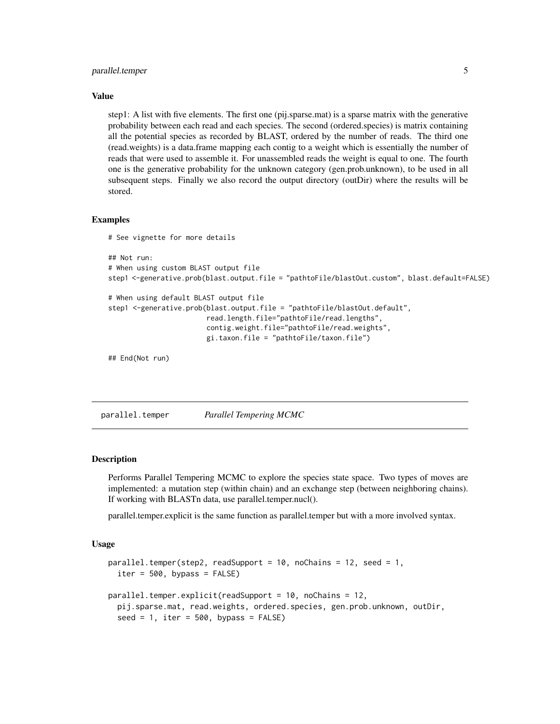# <span id="page-4-0"></span>parallel.temper 5

#### Value

step1: A list with five elements. The first one (pij.sparse.mat) is a sparse matrix with the generative probability between each read and each species. The second (ordered.species) is matrix containing all the potential species as recorded by BLAST, ordered by the number of reads. The third one (read.weights) is a data.frame mapping each contig to a weight which is essentially the number of reads that were used to assemble it. For unassembled reads the weight is equal to one. The fourth one is the generative probability for the unknown category (gen.prob.unknown), to be used in all subsequent steps. Finally we also record the output directory (outDir) where the results will be stored.

#### Examples

```
# See vignette for more details
## Not run:
# When using custom BLAST output file
step1 <-generative.prob(blast.output.file = "pathtoFile/blastOut.custom", blast.default=FALSE)
# When using default BLAST output file
step1 <-generative.prob(blast.output.file = "pathtoFile/blastOut.default",
                        read.length.file="pathtoFile/read.lengths",
                        contig.weight.file="pathtoFile/read.weights",
                        gi.taxon.file = "pathtoFile/taxon.file")
## End(Not run)
```
<span id="page-4-1"></span>parallel.temper *Parallel Tempering MCMC*

#### Description

Performs Parallel Tempering MCMC to explore the species state space. Two types of moves are implemented: a mutation step (within chain) and an exchange step (between neighboring chains). If working with BLASTn data, use parallel.temper.nucl().

parallel.temper.explicit is the same function as parallel.temper but with a more involved syntax.

#### Usage

```
parallel.temper(step2, readSupport = 10, noChains = 12, seed = 1,
  iter = 500, bypass = FALSE)
parallel.temper.explicit(readSupport = 10, noChains = 12,
  pij.sparse.mat, read.weights, ordered.species, gen.prob.unknown, outDir,
  seed = 1, iter = 500, bypass = FALSE)
```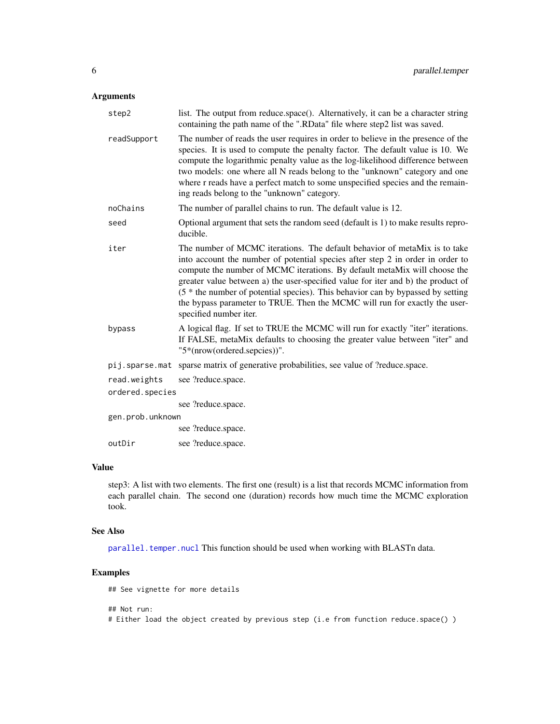## <span id="page-5-0"></span>Arguments

| step2            | list. The output from reduce.space(). Alternatively, it can be a character string<br>containing the path name of the ".RData" file where step2 list was saved.                                                                                                                                                                                                                                                                                                                                                          |
|------------------|-------------------------------------------------------------------------------------------------------------------------------------------------------------------------------------------------------------------------------------------------------------------------------------------------------------------------------------------------------------------------------------------------------------------------------------------------------------------------------------------------------------------------|
| readSupport      | The number of reads the user requires in order to believe in the presence of the<br>species. It is used to compute the penalty factor. The default value is 10. We<br>compute the logarithmic penalty value as the log-likelihood difference between<br>two models: one where all N reads belong to the "unknown" category and one<br>where r reads have a perfect match to some unspecified species and the remain-<br>ing reads belong to the "unknown" category.                                                     |
| noChains         | The number of parallel chains to run. The default value is 12.                                                                                                                                                                                                                                                                                                                                                                                                                                                          |
| seed             | Optional argument that sets the random seed (default is 1) to make results repro-<br>ducible.                                                                                                                                                                                                                                                                                                                                                                                                                           |
| iter             | The number of MCMC iterations. The default behavior of metaMix is to take<br>into account the number of potential species after step 2 in order in order to<br>compute the number of MCMC iterations. By default metaMix will choose the<br>greater value between a) the user-specified value for iter and b) the product of<br>(5 * the number of potential species). This behavior can by bypassed by setting<br>the bypass parameter to TRUE. Then the MCMC will run for exactly the user-<br>specified number iter. |
| bypass           | A logical flag. If set to TRUE the MCMC will run for exactly "iter" iterations.<br>If FALSE, metaMix defaults to choosing the greater value between "iter" and<br>"5*(nrow(ordered.sepcies))".                                                                                                                                                                                                                                                                                                                          |
| pij.sparse.mat   | sparse matrix of generative probabilities, see value of ?reduce.space.                                                                                                                                                                                                                                                                                                                                                                                                                                                  |
| read.weights     | see ?reduce.space.                                                                                                                                                                                                                                                                                                                                                                                                                                                                                                      |
| ordered.species  |                                                                                                                                                                                                                                                                                                                                                                                                                                                                                                                         |
|                  | see ?reduce.space.                                                                                                                                                                                                                                                                                                                                                                                                                                                                                                      |
| gen.prob.unknown |                                                                                                                                                                                                                                                                                                                                                                                                                                                                                                                         |
|                  | see ?reduce.space.                                                                                                                                                                                                                                                                                                                                                                                                                                                                                                      |
| outDir           | see ?reduce.space.                                                                                                                                                                                                                                                                                                                                                                                                                                                                                                      |

# Value

step3: A list with two elements. The first one (result) is a list that records MCMC information from each parallel chain. The second one (duration) records how much time the MCMC exploration took.

#### See Also

[parallel.temper.nucl](#page-6-1) This function should be used when working with BLASTn data.

# Examples

## See vignette for more details

## Not run:

# Either load the object created by previous step (i.e from function reduce.space() )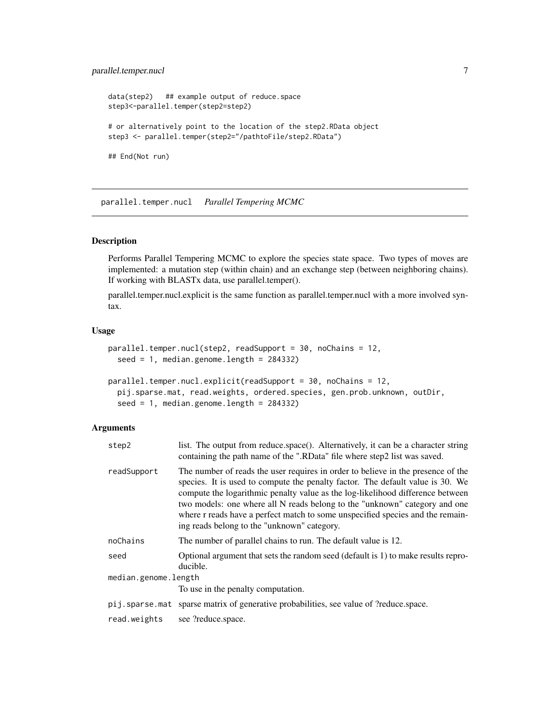# <span id="page-6-0"></span>parallel.temper.nucl 7

```
data(step2) ## example output of reduce.space
step3<-parallel.temper(step2=step2)
# or alternatively point to the location of the step2.RData object
step3 <- parallel.temper(step2="/pathtoFile/step2.RData")
## End(Not run)
```
<span id="page-6-1"></span>parallel.temper.nucl *Parallel Tempering MCMC*

# Description

Performs Parallel Tempering MCMC to explore the species state space. Two types of moves are implemented: a mutation step (within chain) and an exchange step (between neighboring chains). If working with BLASTx data, use parallel.temper().

parallel.temper.nucl.explicit is the same function as parallel.temper.nucl with a more involved syntax.

# Usage

```
parallel.temper.nucl(step2, readSupport = 30, noChains = 12,
  seed = 1, median.genome.length = 284332)
```

```
parallel.temper.nucl.explicit(readSupport = 30, noChains = 12,
 pij.sparse.mat, read.weights, ordered.species, gen.prob.unknown, outDir,
 seed = 1, median.genome.length = 284332)
```
#### Arguments

| step2                | list. The output from reduce space(). Alternatively, it can be a character string<br>containing the path name of the ".RData" file where step2 list was saved.                                                                                                                                                                                                                                                                                                      |
|----------------------|---------------------------------------------------------------------------------------------------------------------------------------------------------------------------------------------------------------------------------------------------------------------------------------------------------------------------------------------------------------------------------------------------------------------------------------------------------------------|
| readSupport          | The number of reads the user requires in order to believe in the presence of the<br>species. It is used to compute the penalty factor. The default value is 30. We<br>compute the logarithmic penalty value as the log-likelihood difference between<br>two models: one where all N reads belong to the "unknown" category and one<br>where r reads have a perfect match to some unspecified species and the remain-<br>ing reads belong to the "unknown" category. |
| noChains             | The number of parallel chains to run. The default value is 12.                                                                                                                                                                                                                                                                                                                                                                                                      |
| seed                 | Optional argument that sets the random seed (default is 1) to make results repro-<br>ducible.                                                                                                                                                                                                                                                                                                                                                                       |
| median.genome.length |                                                                                                                                                                                                                                                                                                                                                                                                                                                                     |
|                      | To use in the penalty computation.                                                                                                                                                                                                                                                                                                                                                                                                                                  |
|                      | pij.sparse.mat sparse matrix of generative probabilities, see value of ?reduce.space.                                                                                                                                                                                                                                                                                                                                                                               |
| read.weights         | see ?reduce.space.                                                                                                                                                                                                                                                                                                                                                                                                                                                  |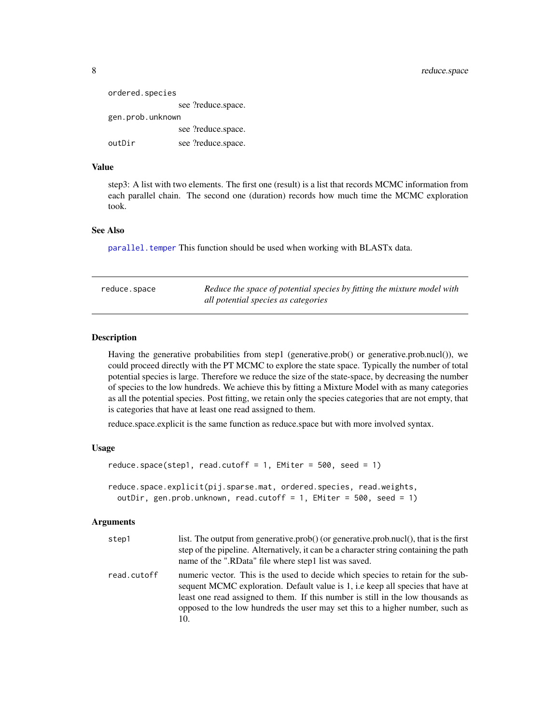<span id="page-7-0"></span>

| ordered.species  |                    |
|------------------|--------------------|
|                  | see ?reduce.space. |
| gen.prob.unknown |                    |
|                  | see ?reduce.space. |
| outDir           | see ?reduce.space. |

# Value

step3: A list with two elements. The first one (result) is a list that records MCMC information from each parallel chain. The second one (duration) records how much time the MCMC exploration took.

### See Also

[parallel.temper](#page-4-1) This function should be used when working with BLASTx data.

| reduce.space | Reduce the space of potential species by fitting the mixture model with |
|--------------|-------------------------------------------------------------------------|
|              | all potential species as categories                                     |

# **Description**

Having the generative probabilities from step1 (generative.prob() or generative.prob.nucl()), we could proceed directly with the PT MCMC to explore the state space. Typically the number of total potential species is large. Therefore we reduce the size of the state-space, by decreasing the number of species to the low hundreds. We achieve this by fitting a Mixture Model with as many categories as all the potential species. Post fitting, we retain only the species categories that are not empty, that is categories that have at least one read assigned to them.

reduce.space.explicit is the same function as reduce.space but with more involved syntax.

#### Usage

```
reduce.space(step1, read.cutoff = 1, EMiter = 500, seed = 1)
reduce.space.explicit(pij.sparse.mat, ordered.species, read.weights,
 outDir, gen.prob.unknown, read.cutoff = 1, EMiter = 500, seed = 1)
```
#### Arguments

| step1       | list. The output from generative.prob() (or generative.prob.nucl(), that is the first<br>step of the pipeline. Alternatively, it can be a character string containing the path<br>name of the ".RData" file where step1 list was saved.                                                                                                        |
|-------------|------------------------------------------------------------------------------------------------------------------------------------------------------------------------------------------------------------------------------------------------------------------------------------------------------------------------------------------------|
| read.cutoff | numeric vector. This is the used to decide which species to retain for the sub-<br>sequent MCMC exploration. Default value is 1, i.e keep all species that have at<br>least one read assigned to them. If this number is still in the low thousands as<br>opposed to the low hundreds the user may set this to a higher number, such as<br>10. |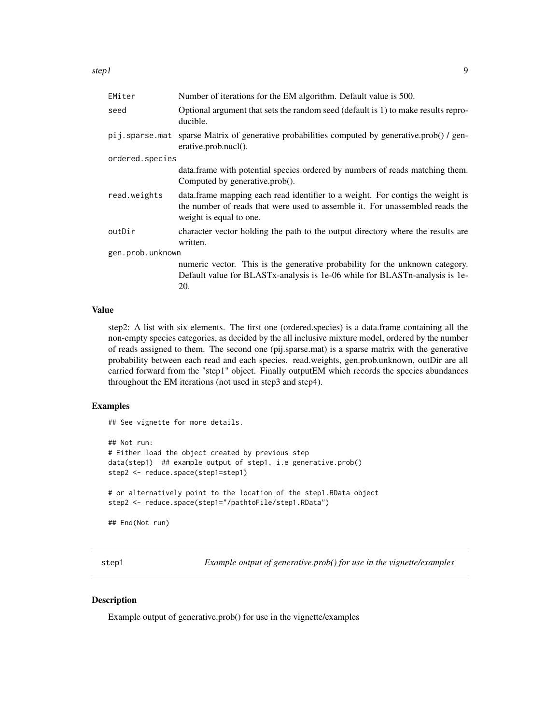<span id="page-8-0"></span>

| EMiter           | Number of iterations for the EM algorithm. Default value is 500.                                                                                                                           |  |
|------------------|--------------------------------------------------------------------------------------------------------------------------------------------------------------------------------------------|--|
| seed             | Optional argument that sets the random seed (default is 1) to make results repro-<br>ducible.                                                                                              |  |
| pij.sparse.mat   | sparse Matrix of generative probabilities computed by generative.prob() / gen-<br>erative.prob.nucl().                                                                                     |  |
| ordered.species  |                                                                                                                                                                                            |  |
|                  | data.frame with potential species ordered by numbers of reads matching them.<br>Computed by generative.prob().                                                                             |  |
| read.weights     | data. frame mapping each read identifier to a weight. For contigs the weight is<br>the number of reads that were used to assemble it. For unassembled reads the<br>weight is equal to one. |  |
| outDir           | character vector holding the path to the output directory where the results are<br>written.                                                                                                |  |
| gen.prob.unknown |                                                                                                                                                                                            |  |
|                  | numeric vector. This is the generative probability for the unknown category.<br>Default value for BLASTx-analysis is 1e-06 while for BLASTn-analysis is 1e-<br>20.                         |  |

#### Value

step2: A list with six elements. The first one (ordered.species) is a data.frame containing all the non-empty species categories, as decided by the all inclusive mixture model, ordered by the number of reads assigned to them. The second one (pij.sparse.mat) is a sparse matrix with the generative probability between each read and each species. read.weights, gen.prob.unknown, outDir are all carried forward from the "step1" object. Finally outputEM which records the species abundances throughout the EM iterations (not used in step3 and step4).

# Examples

```
## See vignette for more details.
```

```
## Not run:
# Either load the object created by previous step
data(step1) ## example output of step1, i.e generative.prob()
step2 <- reduce.space(step1=step1)
# or alternatively point to the location of the step1.RData object
step2 <- reduce.space(step1="/pathtoFile/step1.RData")
```

```
## End(Not run)
```
step1 *Example output of generative.prob() for use in the vignette/examples*

#### Description

Example output of generative.prob() for use in the vignette/examples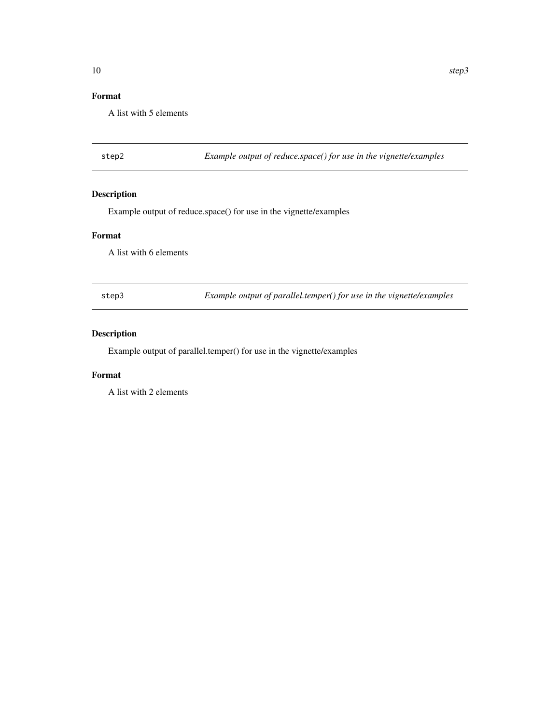# <span id="page-9-0"></span>Format

A list with 5 elements

step2 *Example output of reduce.space() for use in the vignette/examples*

# Description

Example output of reduce.space() for use in the vignette/examples

#### Format

A list with 6 elements

step3 *Example output of parallel.temper() for use in the vignette/examples*

# Description

Example output of parallel.temper() for use in the vignette/examples

# Format

A list with 2 elements